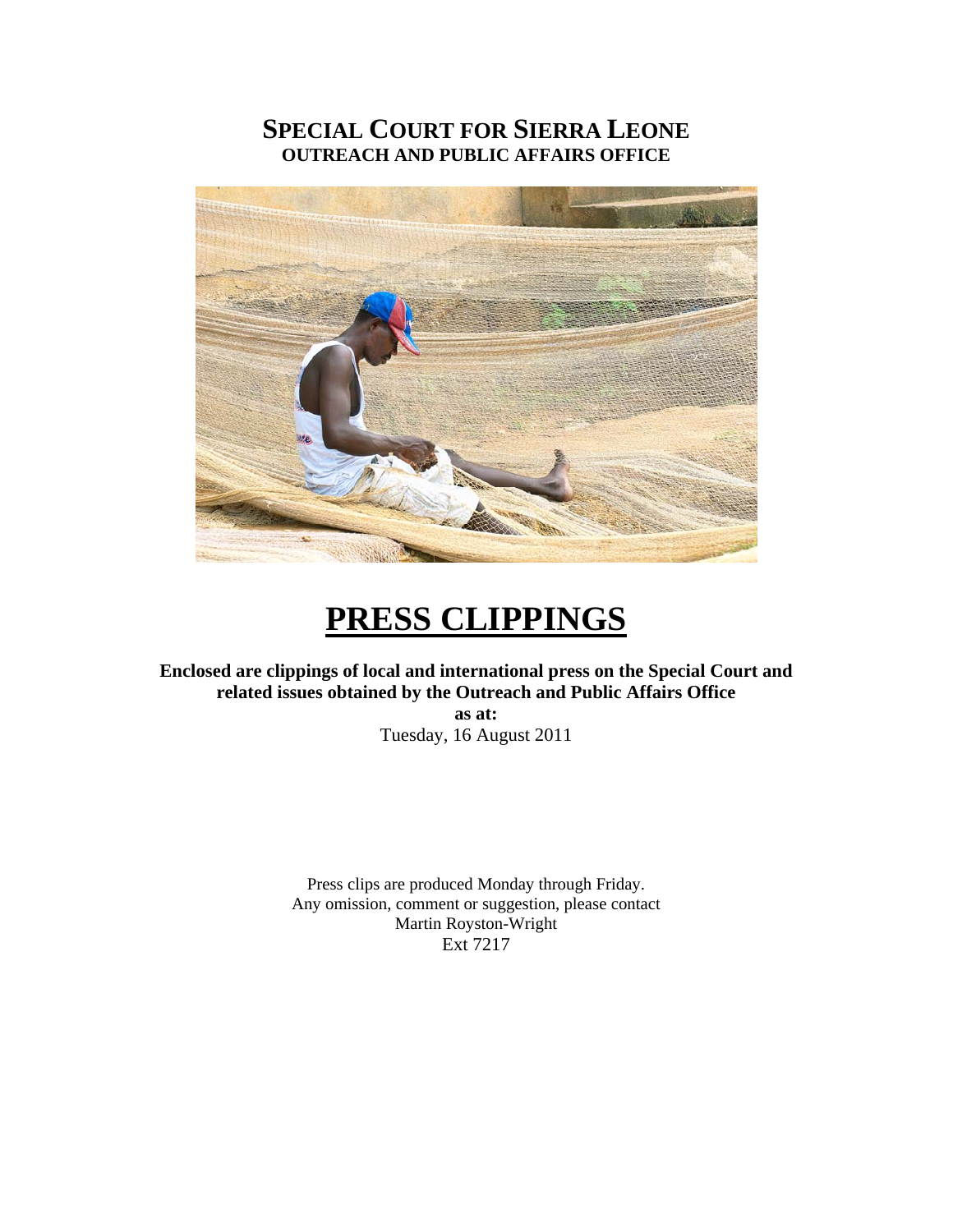# **SPECIAL COURT FOR SIERRA LEONE OUTREACH AND PUBLIC AFFAIRS OFFICE**



# **PRESS CLIPPINGS**

**Enclosed are clippings of local and international press on the Special Court and related issues obtained by the Outreach and Public Affairs Office as at:** 

Tuesday, 16 August 2011

Press clips are produced Monday through Friday. Any omission, comment or suggestion, please contact Martin Royston-Wright Ext 7217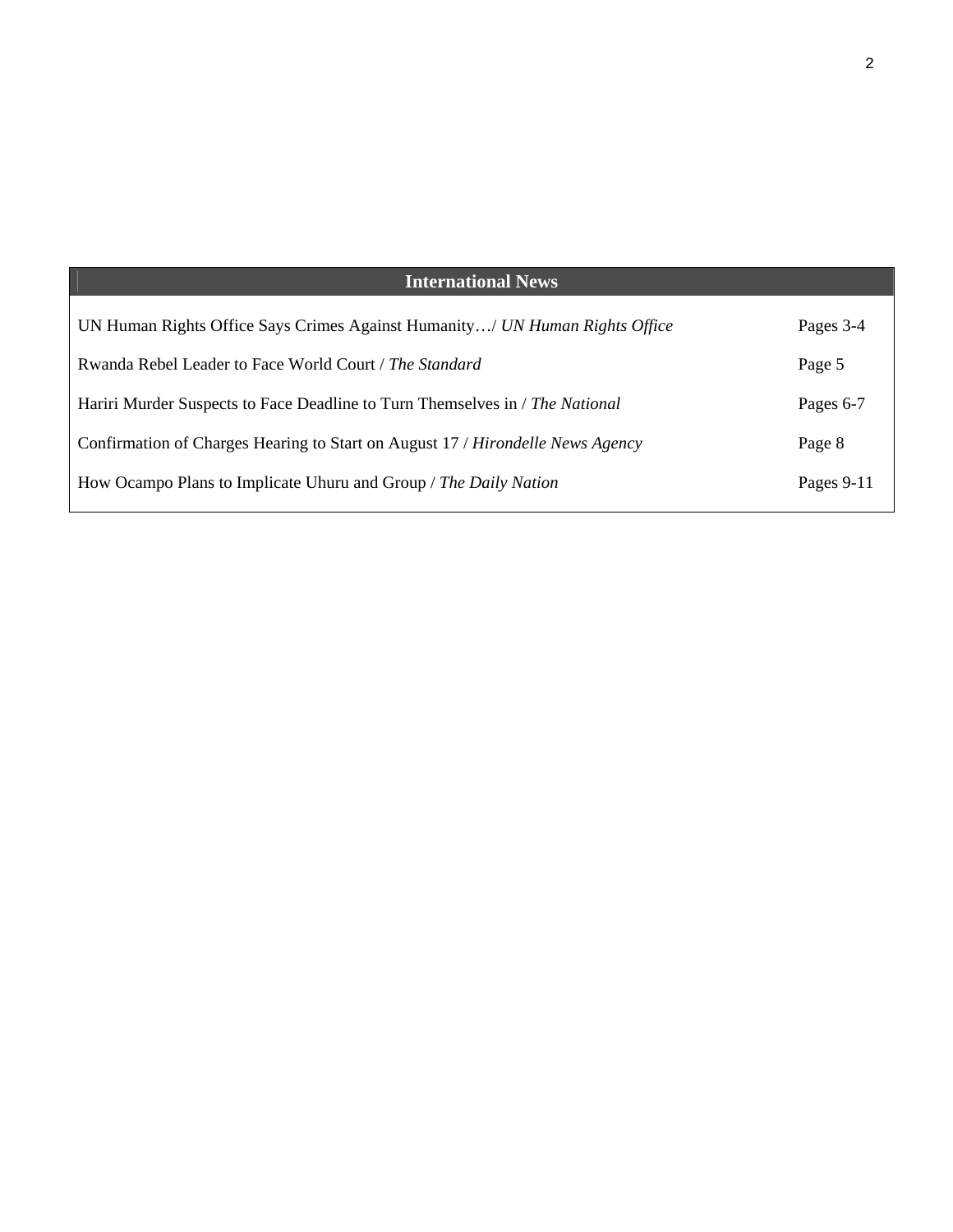| <b>International News</b>                                                      |            |
|--------------------------------------------------------------------------------|------------|
| UN Human Rights Office Says Crimes Against Humanity/ UN Human Rights Office    | Pages 3-4  |
| Rwanda Rebel Leader to Face World Court / The Standard                         | Page 5     |
| Hariri Murder Suspects to Face Deadline to Turn Themselves in / The National   | Pages 6-7  |
| Confirmation of Charges Hearing to Start on August 17 / Hirondelle News Agency | Page 8     |
| How Ocampo Plans to Implicate Uhuru and Group / The Daily Nation               | Pages 9-11 |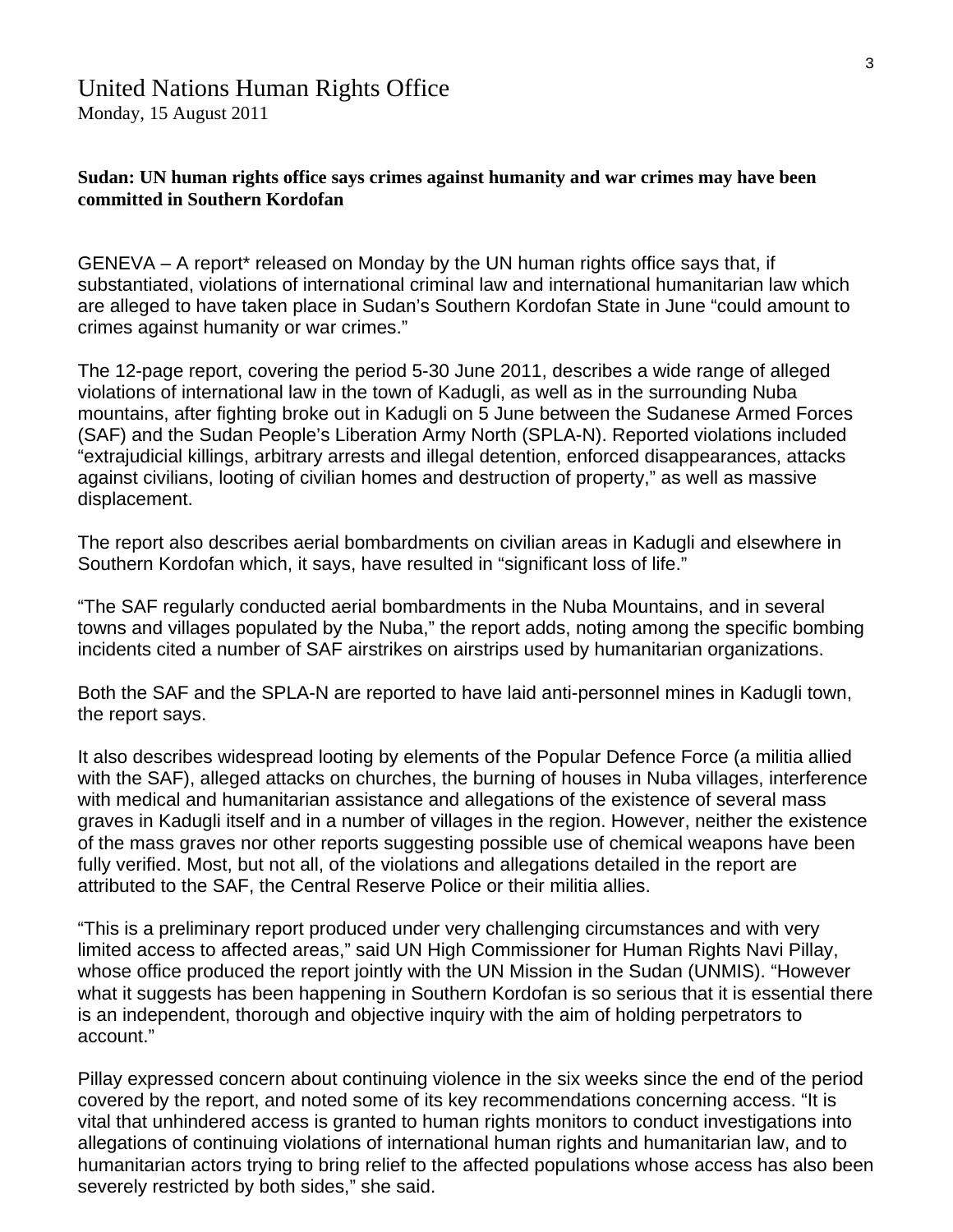# United Nations Human Rights Office

Monday, 15 August 2011

## **Sudan: UN human rights office says crimes against humanity and war crimes may have been committed in Southern Kordofan**

GENEVA – A report\* released on Monday by the UN human rights office says that, if substantiated, violations of international criminal law and international humanitarian law which are alleged to have taken place in Sudan's Southern Kordofan State in June "could amount to crimes against humanity or war crimes."

The 12-page report, covering the period 5-30 June 2011, describes a wide range of alleged violations of international law in the town of Kadugli, as well as in the surrounding Nuba mountains, after fighting broke out in Kadugli on 5 June between the Sudanese Armed Forces (SAF) and the Sudan People's Liberation Army North (SPLA-N). Reported violations included "extrajudicial killings, arbitrary arrests and illegal detention, enforced disappearances, attacks against civilians, looting of civilian homes and destruction of property," as well as massive displacement.

The report also describes aerial bombardments on civilian areas in Kadugli and elsewhere in Southern Kordofan which, it says, have resulted in "significant loss of life."

"The SAF regularly conducted aerial bombardments in the Nuba Mountains, and in several towns and villages populated by the Nuba," the report adds, noting among the specific bombing incidents cited a number of SAF airstrikes on airstrips used by humanitarian organizations.

Both the SAF and the SPLA-N are reported to have laid anti-personnel mines in Kadugli town, the report says.

It also describes widespread looting by elements of the Popular Defence Force (a militia allied with the SAF), alleged attacks on churches, the burning of houses in Nuba villages, interference with medical and humanitarian assistance and allegations of the existence of several mass graves in Kadugli itself and in a number of villages in the region. However, neither the existence of the mass graves nor other reports suggesting possible use of chemical weapons have been fully verified. Most, but not all, of the violations and allegations detailed in the report are attributed to the SAF, the Central Reserve Police or their militia allies.

"This is a preliminary report produced under very challenging circumstances and with very limited access to affected areas," said UN High Commissioner for Human Rights Navi Pillay, whose office produced the report jointly with the UN Mission in the Sudan (UNMIS). "However what it suggests has been happening in Southern Kordofan is so serious that it is essential there is an independent, thorough and objective inquiry with the aim of holding perpetrators to account."

Pillay expressed concern about continuing violence in the six weeks since the end of the period covered by the report, and noted some of its key recommendations concerning access. "It is vital that unhindered access is granted to human rights monitors to conduct investigations into allegations of continuing violations of international human rights and humanitarian law, and to humanitarian actors trying to bring relief to the affected populations whose access has also been severely restricted by both sides," she said.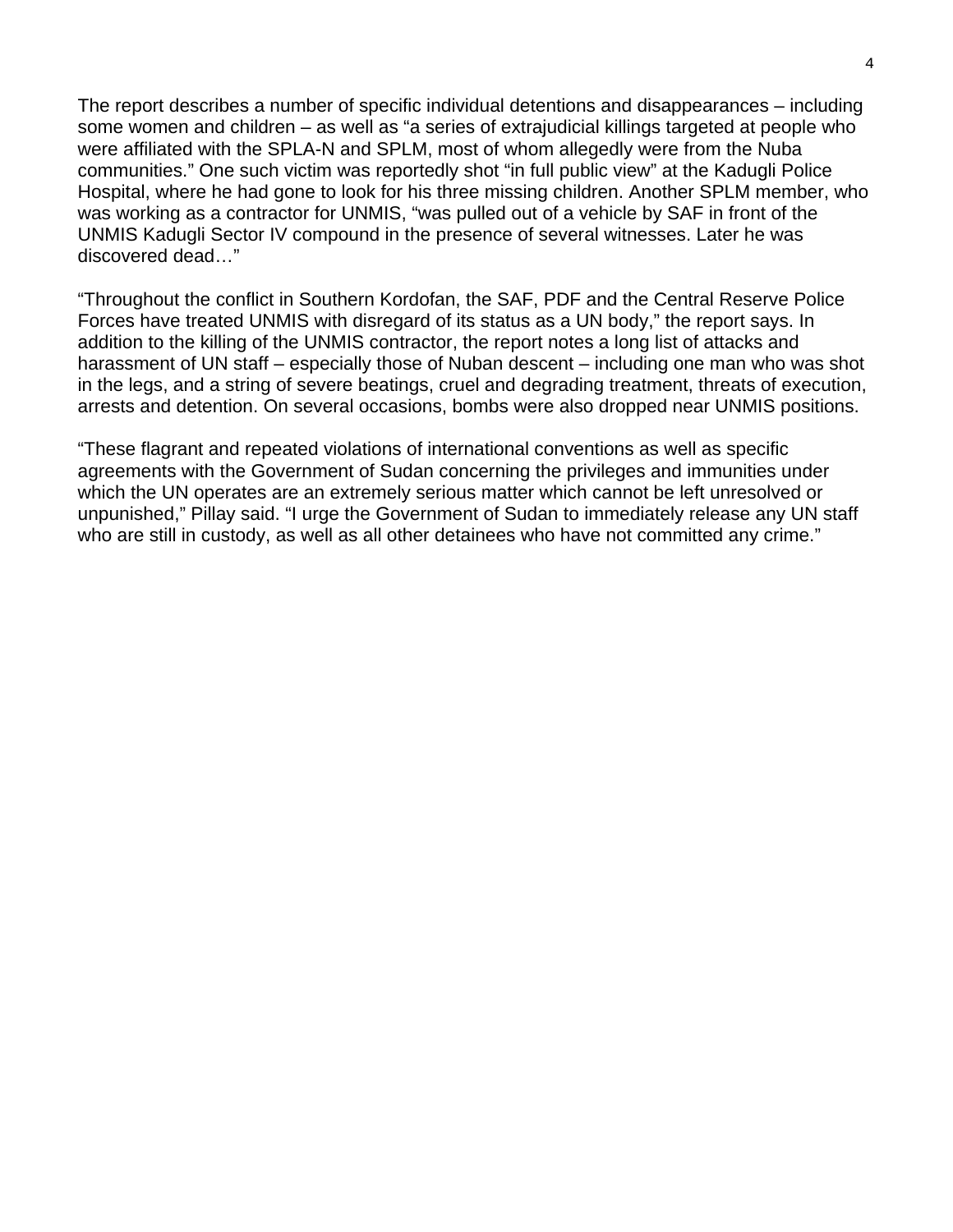The report describes a number of specific individual detentions and disappearances – including some women and children – as well as "a series of extrajudicial killings targeted at people who were affiliated with the SPLA-N and SPLM, most of whom allegedly were from the Nuba communities." One such victim was reportedly shot "in full public view" at the Kadugli Police Hospital, where he had gone to look for his three missing children. Another SPLM member, who was working as a contractor for UNMIS, "was pulled out of a vehicle by SAF in front of the UNMIS Kadugli Sector IV compound in the presence of several witnesses. Later he was discovered dead…"

"Throughout the conflict in Southern Kordofan, the SAF, PDF and the Central Reserve Police Forces have treated UNMIS with disregard of its status as a UN body," the report says. In addition to the killing of the UNMIS contractor, the report notes a long list of attacks and harassment of UN staff – especially those of Nuban descent – including one man who was shot in the legs, and a string of severe beatings, cruel and degrading treatment, threats of execution, arrests and detention. On several occasions, bombs were also dropped near UNMIS positions.

"These flagrant and repeated violations of international conventions as well as specific agreements with the Government of Sudan concerning the privileges and immunities under which the UN operates are an extremely serious matter which cannot be left unresolved or unpunished," Pillay said. "I urge the Government of Sudan to immediately release any UN staff who are still in custody, as well as all other detainees who have not committed any crime."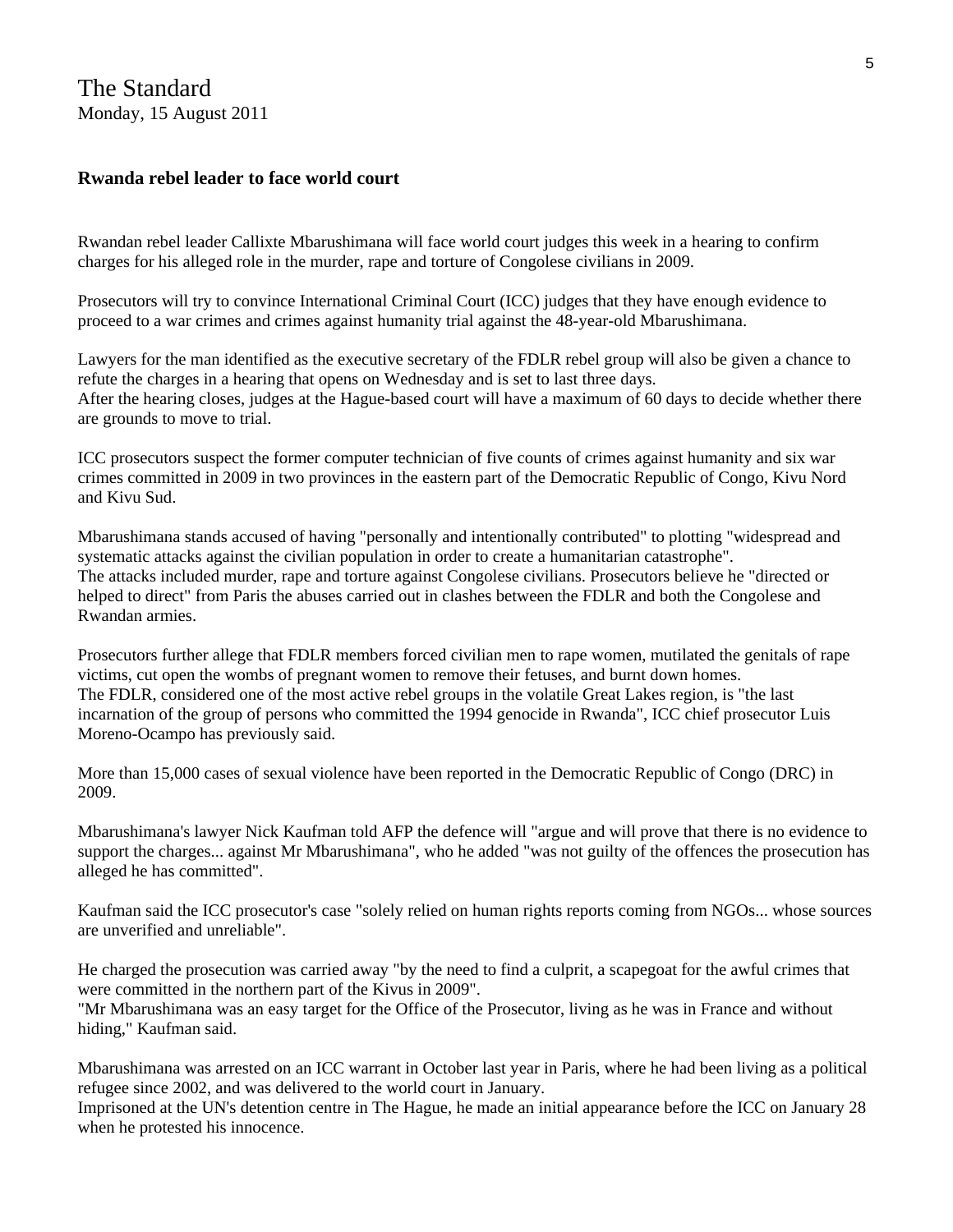## **Rwanda rebel leader to face world court**

Rwandan rebel leader Callixte Mbarushimana will face world court judges this week in a hearing to confirm charges for his alleged role in the murder, rape and torture of Congolese civilians in 2009.

Prosecutors will try to convince International Criminal Court (ICC) judges that they have enough evidence to proceed to a war crimes and crimes against humanity trial against the 48-year-old Mbarushimana.

Lawyers for the man identified as the executive secretary of the FDLR rebel group will also be given a chance to refute the charges in a hearing that opens on Wednesday and is set to last three days. After the hearing closes, judges at the Hague-based court will have a maximum of 60 days to decide whether there are grounds to move to trial.

ICC prosecutors suspect the former computer technician of five counts of crimes against humanity and six war crimes committed in 2009 in two provinces in the eastern part of the Democratic Republic of Congo, Kivu Nord and Kivu Sud.

Mbarushimana stands accused of having "personally and intentionally contributed" to plotting "widespread and systematic attacks against the civilian population in order to create a humanitarian catastrophe". The attacks included murder, rape and torture against Congolese civilians. Prosecutors believe he "directed or helped to direct" from Paris the abuses carried out in clashes between the FDLR and both the Congolese and Rwandan armies.

Prosecutors further allege that FDLR members forced civilian men to rape women, mutilated the genitals of rape victims, cut open the wombs of pregnant women to remove their fetuses, and burnt down homes. The FDLR, considered one of the most active rebel groups in the volatile Great Lakes region, is "the last incarnation of the group of persons who committed the 1994 genocide in Rwanda", ICC chief prosecutor Luis Moreno-Ocampo has previously said.

More than 15,000 cases of sexual violence have been reported in the Democratic Republic of Congo (DRC) in 2009.

Mbarushimana's lawyer Nick Kaufman told AFP the defence will "argue and will prove that there is no evidence to support the charges... against Mr Mbarushimana", who he added "was not guilty of the offences the prosecution has alleged he has committed".

Kaufman said the ICC prosecutor's case "solely relied on human rights reports coming from NGOs... whose sources are unverified and unreliable".

He charged the prosecution was carried away "by the need to find a culprit, a scapegoat for the awful crimes that were committed in the northern part of the Kivus in 2009".

"Mr Mbarushimana was an easy target for the Office of the Prosecutor, living as he was in France and without hiding," Kaufman said.

Mbarushimana was arrested on an ICC warrant in October last year in Paris, where he had been living as a political refugee since 2002, and was delivered to the world court in January.

Imprisoned at the UN's detention centre in The Hague, he made an initial appearance before the ICC on January 28 when he protested his innocence.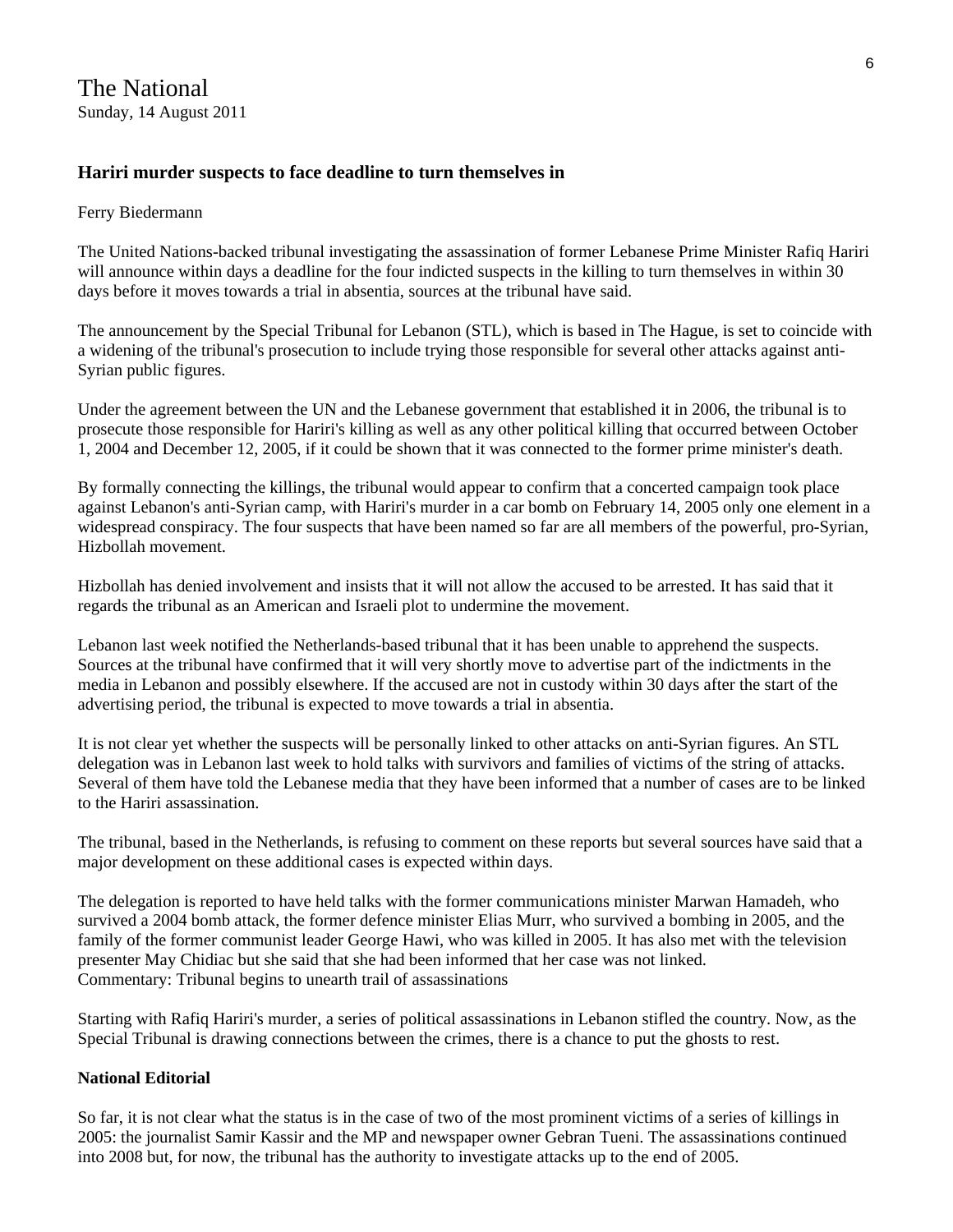# **Hariri murder suspects to face deadline to turn themselves in**

#### Ferry Biedermann

The United Nations-backed tribunal investigating the assassination of former Lebanese Prime Minister Rafiq Hariri will announce within days a deadline for the four indicted suspects in the killing to turn themselves in within 30 days before it moves towards a trial in absentia, sources at the tribunal have said.

The announcement by the Special Tribunal for Lebanon (STL), which is based in The Hague, is set to coincide with a widening of the tribunal's prosecution to include trying those responsible for several other attacks against anti-Syrian public figures.

Under the agreement between the UN and the Lebanese government that established it in 2006, the tribunal is to prosecute those responsible for Hariri's killing as well as any other political killing that occurred between October 1, 2004 and December 12, 2005, if it could be shown that it was connected to the former prime minister's death.

By formally connecting the killings, the tribunal would appear to confirm that a concerted campaign took place against Lebanon's anti-Syrian camp, with Hariri's murder in a car bomb on February 14, 2005 only one element in a widespread conspiracy. The four suspects that have been named so far are all members of the powerful, pro-Syrian, Hizbollah movement.

Hizbollah has denied involvement and insists that it will not allow the accused to be arrested. It has said that it regards the tribunal as an American and Israeli plot to undermine the movement.

Lebanon last week notified the Netherlands-based tribunal that it has been unable to apprehend the suspects. Sources at the tribunal have confirmed that it will very shortly move to advertise part of the indictments in the media in Lebanon and possibly elsewhere. If the accused are not in custody within 30 days after the start of the advertising period, the tribunal is expected to move towards a trial in absentia.

It is not clear yet whether the suspects will be personally linked to other attacks on anti-Syrian figures. An STL delegation was in Lebanon last week to hold talks with survivors and families of victims of the string of attacks. Several of them have told the Lebanese media that they have been informed that a number of cases are to be linked to the Hariri assassination.

The tribunal, based in the Netherlands, is refusing to comment on these reports but several sources have said that a major development on these additional cases is expected within days.

The delegation is reported to have held talks with the former communications minister Marwan Hamadeh, who survived a 2004 bomb attack, the former defence minister Elias Murr, who survived a bombing in 2005, and the family of the former communist leader George Hawi, who was killed in 2005. It has also met with the television presenter May Chidiac but she said that she had been informed that her case was not linked. Commentary: Tribunal begins to unearth trail of assassinations

Starting with Rafiq Hariri's murder, a series of political assassinations in Lebanon stifled the country. Now, as the Special Tribunal is drawing connections between the crimes, there is a chance to put the ghosts to rest.

#### **National Editorial**

So far, it is not clear what the status is in the case of two of the most prominent victims of a series of killings in 2005: the journalist Samir Kassir and the MP and newspaper owner Gebran Tueni. The assassinations continued into 2008 but, for now, the tribunal has the authority to investigate attacks up to the end of 2005.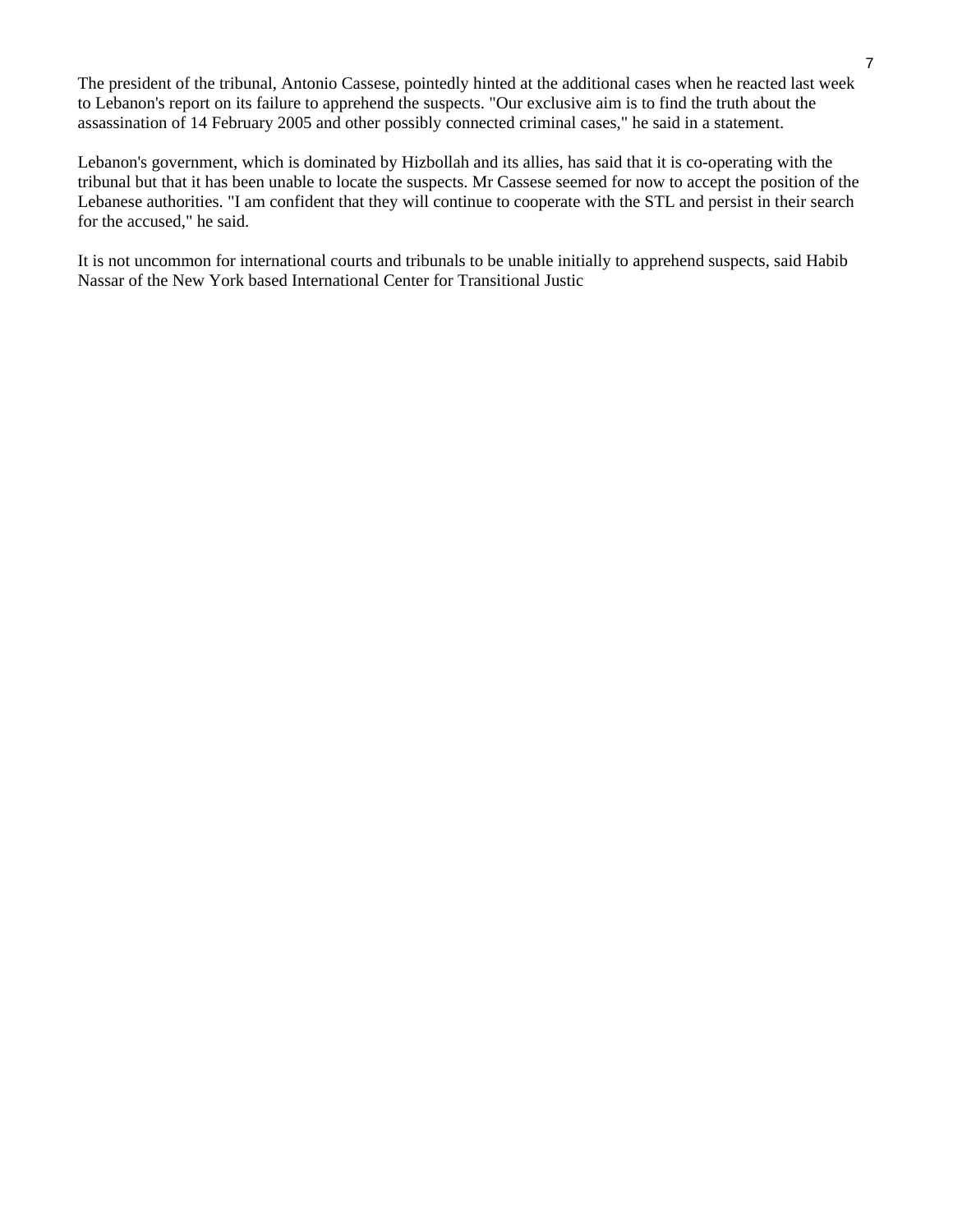The president of the tribunal, Antonio Cassese, pointedly hinted at the additional cases when he reacted last week to Lebanon's report on its failure to apprehend the suspects. "Our exclusive aim is to find the truth about the assassination of 14 February 2005 and other possibly connected criminal cases," he said in a statement.

Lebanon's government, which is dominated by Hizbollah and its allies, has said that it is co-operating with the tribunal but that it has been unable to locate the suspects. Mr Cassese seemed for now to accept the position of the Lebanese authorities. "I am confident that they will continue to cooperate with the STL and persist in their search for the accused," he said.

It is not uncommon for international courts and tribunals to be unable initially to apprehend suspects, said Habib Nassar of the New York based International Center for Transitional Justic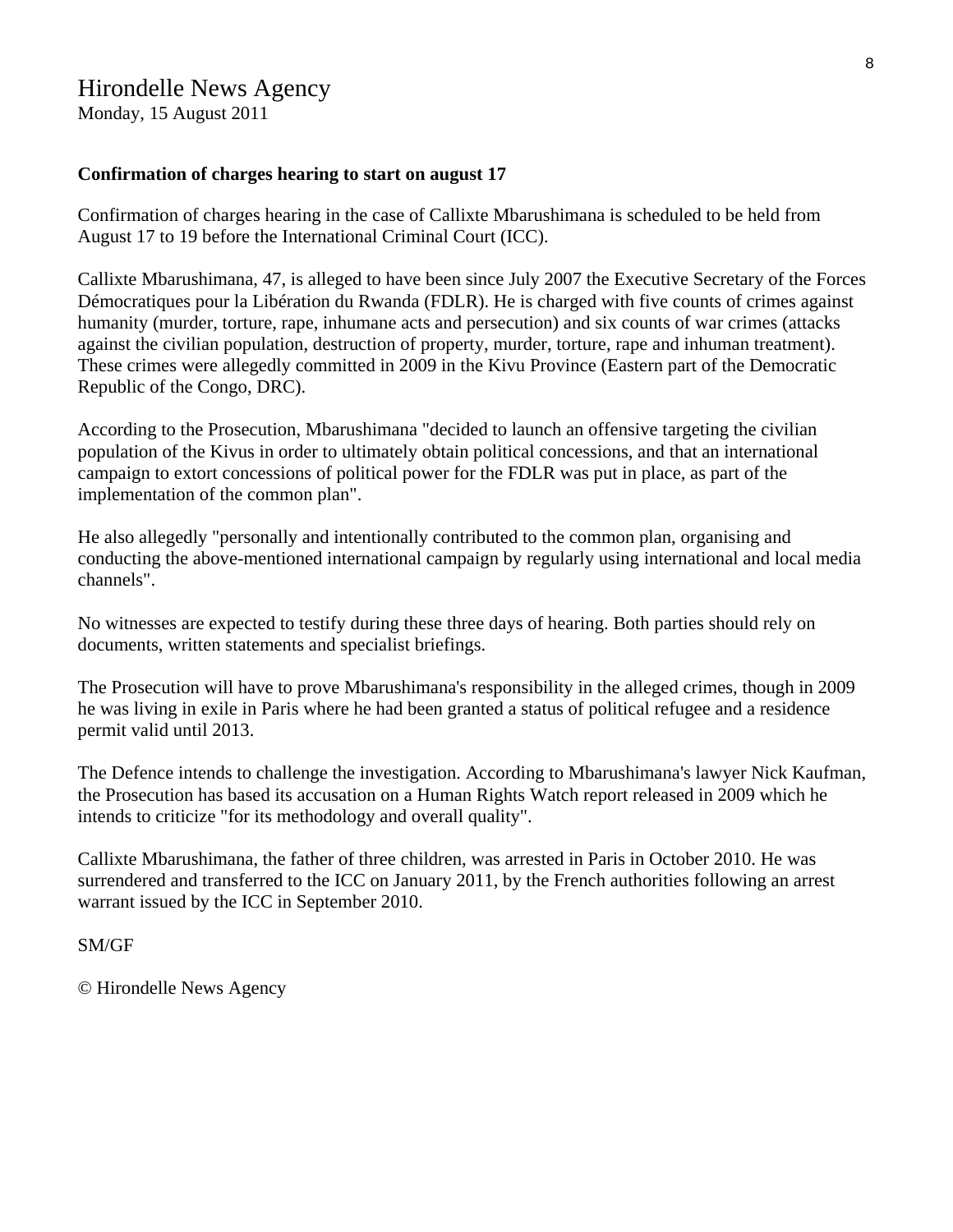# Hirondelle News Agency

Monday, 15 August 2011

#### **Confirmation of charges hearing to start on august 17**

Confirmation of charges hearing in the case of Callixte Mbarushimana is scheduled to be held from August 17 to 19 before the International Criminal Court (ICC).

Callixte Mbarushimana, 47, is alleged to have been since July 2007 the Executive Secretary of the Forces Démocratiques pour la Libération du Rwanda (FDLR). He is charged with five counts of crimes against humanity (murder, torture, rape, inhumane acts and persecution) and six counts of war crimes (attacks against the civilian population, destruction of property, murder, torture, rape and inhuman treatment). These crimes were allegedly committed in 2009 in the Kivu Province (Eastern part of the Democratic Republic of the Congo, DRC).

According to the Prosecution, Mbarushimana "decided to launch an offensive targeting the civilian population of the Kivus in order to ultimately obtain political concessions, and that an international campaign to extort concessions of political power for the FDLR was put in place, as part of the implementation of the common plan".

He also allegedly "personally and intentionally contributed to the common plan, organising and conducting the above-mentioned international campaign by regularly using international and local media channels".

No witnesses are expected to testify during these three days of hearing. Both parties should rely on documents, written statements and specialist briefings.

The Prosecution will have to prove Mbarushimana's responsibility in the alleged crimes, though in 2009 he was living in exile in Paris where he had been granted a status of political refugee and a residence permit valid until 2013.

The Defence intends to challenge the investigation. According to Mbarushimana's lawyer Nick Kaufman, the Prosecution has based its accusation on a Human Rights Watch report released in 2009 which he intends to criticize "for its methodology and overall quality".

Callixte Mbarushimana, the father of three children, was arrested in Paris in October 2010. He was surrendered and transferred to the ICC on January 2011, by the French authorities following an arrest warrant issued by the ICC in September 2010.

#### SM/GF

© Hirondelle News Agency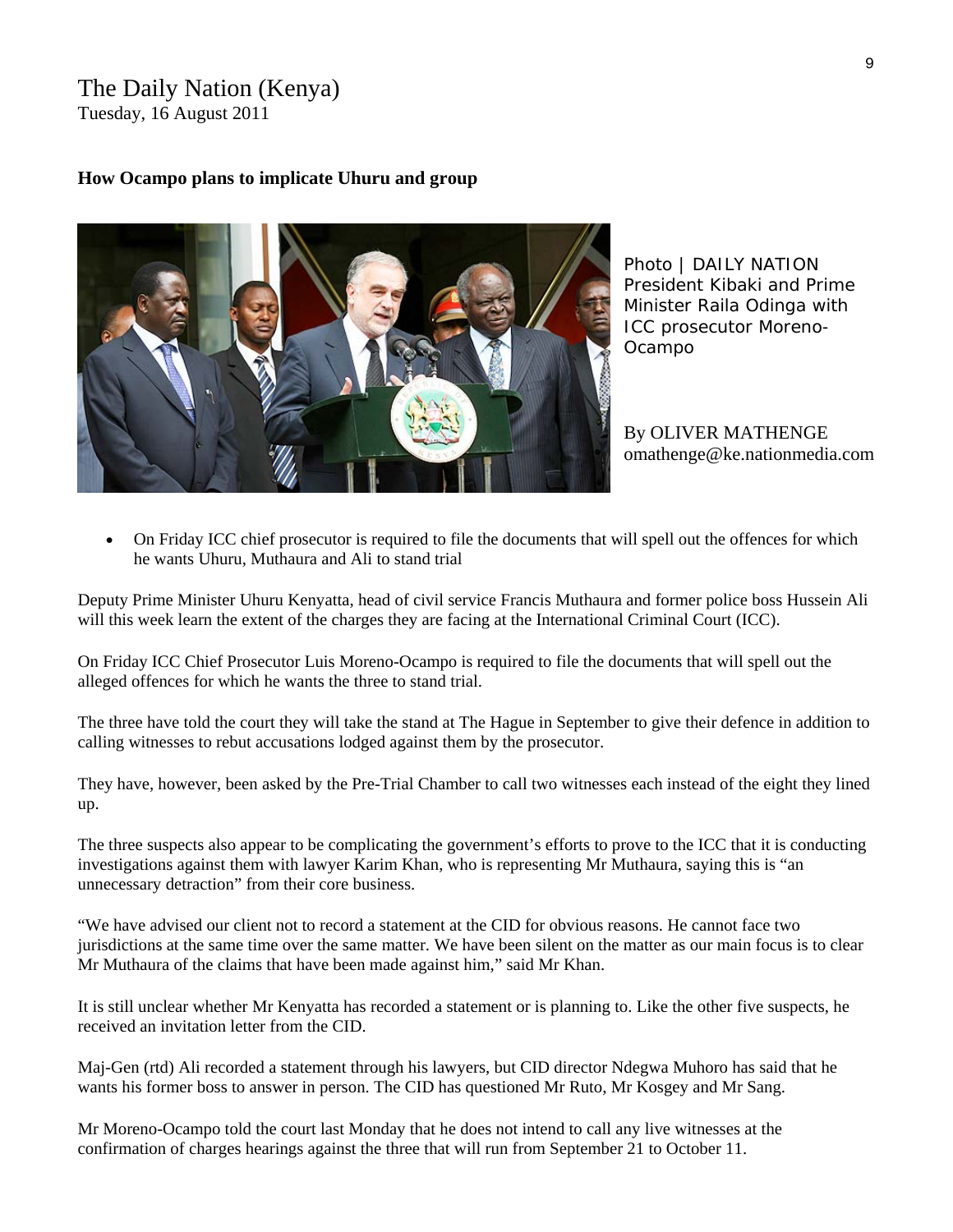# The Daily Nation (Kenya) Tuesday, 16 August 2011

## **How Ocampo plans to implicate Uhuru and group**



*Photo | DAILY NATION President Kibaki and Prime Minister Raila Odinga with ICC prosecutor Moreno-Ocampo* 

By OLIVER MATHENGE omathenge@ke.nationmedia.com

• On Friday ICC chief prosecutor is required to file the documents that will spell out the offences for which he wants Uhuru, Muthaura and Ali to stand trial

Deputy Prime Minister Uhuru Kenyatta, head of civil service Francis Muthaura and former police boss Hussein Ali will this week learn the extent of the charges they are facing at the International Criminal Court (ICC).

On Friday ICC Chief Prosecutor Luis Moreno-Ocampo is required to file the documents that will spell out the alleged offences for which he wants the three to stand trial.

The three have told the court they will take the stand at The Hague in September to give their defence in addition to calling witnesses to rebut accusations lodged against them by the prosecutor.

They have, however, been asked by the Pre-Trial Chamber to call two witnesses each instead of the eight they lined up.

The three suspects also appear to be complicating the government's efforts to prove to the ICC that it is conducting investigations against them with lawyer Karim Khan, who is representing Mr Muthaura, saying this is "an unnecessary detraction" from their core business.

"We have advised our client not to record a statement at the CID for obvious reasons. He cannot face two jurisdictions at the same time over the same matter. We have been silent on the matter as our main focus is to clear Mr Muthaura of the claims that have been made against him," said Mr Khan.

It is still unclear whether Mr Kenyatta has recorded a statement or is planning to. Like the other five suspects, he received an invitation letter from the CID.

Maj-Gen (rtd) Ali recorded a statement through his lawyers, but CID director Ndegwa Muhoro has said that he wants his former boss to answer in person. The CID has questioned Mr Ruto, Mr Kosgey and Mr Sang.

Mr Moreno-Ocampo told the court last Monday that he does not intend to call any live witnesses at the confirmation of charges hearings against the three that will run from September 21 to October 11.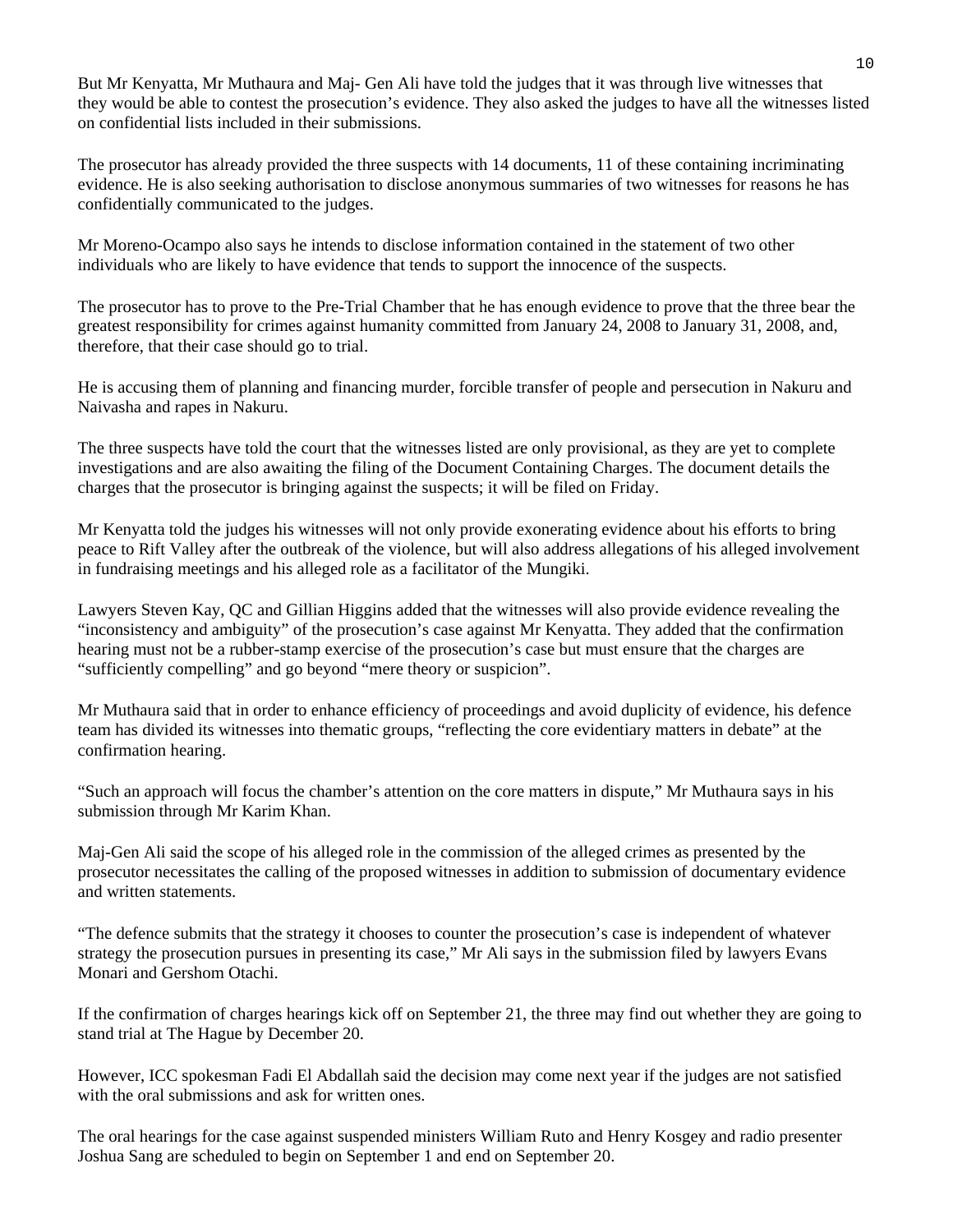But Mr Kenyatta, Mr Muthaura and Maj- Gen Ali have told the judges that it was through live witnesses that they would be able to contest the prosecution's evidence. They also asked the judges to have all the witnesses listed on confidential lists included in their submissions.

The prosecutor has already provided the three suspects with 14 documents, 11 of these containing incriminating evidence. He is also seeking authorisation to disclose anonymous summaries of two witnesses for reasons he has confidentially communicated to the judges.

Mr Moreno-Ocampo also says he intends to disclose information contained in the statement of two other individuals who are likely to have evidence that tends to support the innocence of the suspects.

The prosecutor has to prove to the Pre-Trial Chamber that he has enough evidence to prove that the three bear the greatest responsibility for crimes against humanity committed from January 24, 2008 to January 31, 2008, and, therefore, that their case should go to trial.

He is accusing them of planning and financing murder, forcible transfer of people and persecution in Nakuru and Naivasha and rapes in Nakuru.

The three suspects have told the court that the witnesses listed are only provisional, as they are yet to complete investigations and are also awaiting the filing of the Document Containing Charges. The document details the charges that the prosecutor is bringing against the suspects; it will be filed on Friday.

Mr Kenyatta told the judges his witnesses will not only provide exonerating evidence about his efforts to bring peace to Rift Valley after the outbreak of the violence, but will also address allegations of his alleged involvement in fundraising meetings and his alleged role as a facilitator of the Mungiki.

Lawyers Steven Kay, QC and Gillian Higgins added that the witnesses will also provide evidence revealing the "inconsistency and ambiguity" of the prosecution's case against Mr Kenyatta. They added that the confirmation hearing must not be a rubber-stamp exercise of the prosecution's case but must ensure that the charges are "sufficiently compelling" and go beyond "mere theory or suspicion".

Mr Muthaura said that in order to enhance efficiency of proceedings and avoid duplicity of evidence, his defence team has divided its witnesses into thematic groups, "reflecting the core evidentiary matters in debate" at the confirmation hearing.

"Such an approach will focus the chamber's attention on the core matters in dispute," Mr Muthaura says in his submission through Mr Karim Khan.

Maj-Gen Ali said the scope of his alleged role in the commission of the alleged crimes as presented by the prosecutor necessitates the calling of the proposed witnesses in addition to submission of documentary evidence and written statements.

"The defence submits that the strategy it chooses to counter the prosecution's case is independent of whatever strategy the prosecution pursues in presenting its case," Mr Ali says in the submission filed by lawyers Evans Monari and Gershom Otachi.

If the confirmation of charges hearings kick off on September 21, the three may find out whether they are going to stand trial at The Hague by December 20.

However, ICC spokesman Fadi El Abdallah said the decision may come next year if the judges are not satisfied with the oral submissions and ask for written ones.

The oral hearings for the case against suspended ministers William Ruto and Henry Kosgey and radio presenter Joshua Sang are scheduled to begin on September 1 and end on September 20.